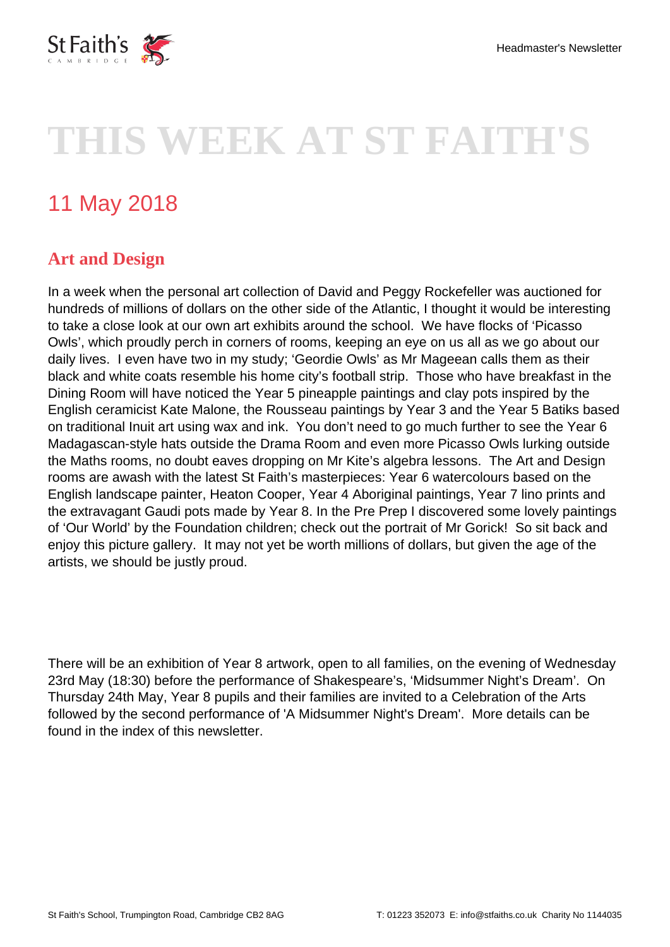

# **THIS WEEK AT ST FAITH'S**

# 11 May 2018

## **Art and Design**

In a week when the personal art collection of David and Peggy Rockefeller was auctioned for hundreds of millions of dollars on the other side of the Atlantic, I thought it would be interesting to take a close look at our own art exhibits around the school. We have flocks of 'Picasso Owls', which proudly perch in corners of rooms, keeping an eye on us all as we go about our daily lives. I even have two in my study; 'Geordie Owls' as Mr Mageean calls them as their black and white coats resemble his home city's football strip. Those who have breakfast in the Dining Room will have noticed the Year 5 pineapple paintings and clay pots inspired by the English ceramicist Kate Malone, the Rousseau paintings by Year 3 and the Year 5 Batiks based on traditional Inuit art using wax and ink. You don't need to go much further to see the Year 6 Madagascan-style hats outside the Drama Room and even more Picasso Owls lurking outside the Maths rooms, no doubt eaves dropping on Mr Kite's algebra lessons. The Art and Design rooms are awash with the latest St Faith's masterpieces: Year 6 watercolours based on the English landscape painter, Heaton Cooper, Year 4 Aboriginal paintings, Year 7 lino prints and the extravagant Gaudi pots made by Year 8. In the Pre Prep I discovered some lovely paintings of 'Our World' by the Foundation children; check out the portrait of Mr Gorick! So sit back and enjoy this picture gallery. It may not yet be worth millions of dollars, but given the age of the artists, we should be justly proud.

There will be an exhibition of Year 8 artwork, open to all families, on the evening of Wednesday 23rd May (18:30) before the performance of Shakespeare's, 'Midsummer Night's Dream'. On Thursday 24th May, Year 8 pupils and their families are invited to a Celebration of the Arts followed by the second performance of 'A Midsummer Night's Dream'. More details can be found in the index of this newsletter.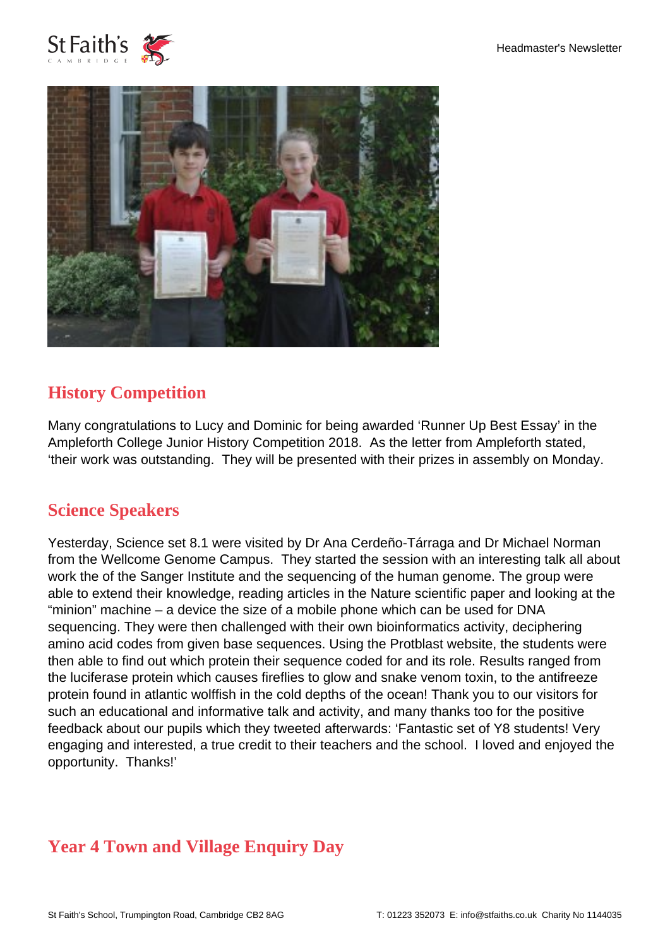



# **History Competition**

Many congratulations to Lucy and Dominic for being awarded 'Runner Up Best Essay' in the Ampleforth College Junior History Competition 2018. As the letter from Ampleforth stated, 'their work was outstanding. They will be presented with their prizes in assembly on Monday.

#### **Science Speakers**

Yesterday, Science set 8.1 were visited by Dr Ana Cerdeño-Tárraga and Dr Michael Norman from the Wellcome Genome Campus. They started the session with an interesting talk all about work the of the Sanger Institute and the sequencing of the human genome. The group were able to extend their knowledge, reading articles in the Nature scientific paper and looking at the "minion" machine – a device the size of a mobile phone which can be used for DNA sequencing. They were then challenged with their own bioinformatics activity, deciphering amino acid codes from given base sequences. Using the Protblast website, the students were then able to find out which protein their sequence coded for and its role. Results ranged from the luciferase protein which causes fireflies to glow and snake venom toxin, to the antifreeze protein found in atlantic wolffish in the cold depths of the ocean! Thank you to our visitors for such an educational and informative talk and activity, and many thanks too for the positive feedback about our pupils which they tweeted afterwards: 'Fantastic set of Y8 students! Very engaging and interested, a true credit to their teachers and the school. I loved and enjoyed the opportunity. Thanks!'

# **Year 4 Town and Village Enquiry Day**